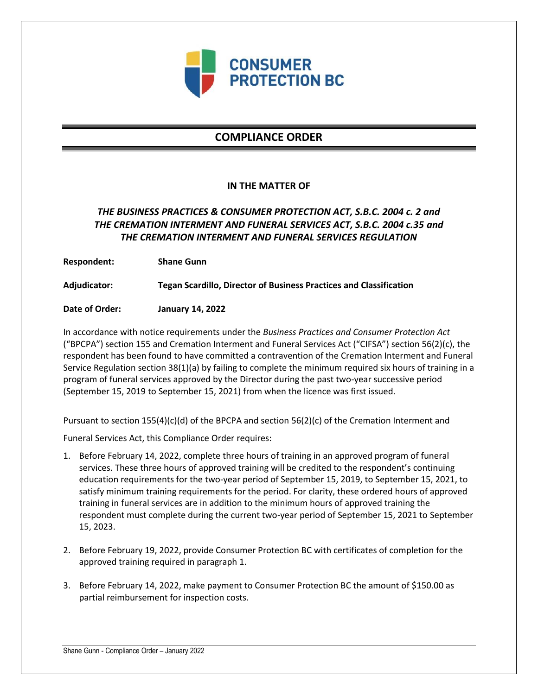

# **COMPLIANCE ORDER**

### **IN THE MATTER OF**

## *THE BUSINESS PRACTICES & CONSUMER PROTECTION ACT, S.B.C. 2004 c. 2 and THE CREMATION INTERMENT AND FUNERAL SERVICES ACT, S.B.C. 2004 c.35 and THE CREMATION INTERMENT AND FUNERAL SERVICES REGULATION*

**Respondent: Shane Gunn**

**Adjudicator: Tegan Scardillo, Director of Business Practices and Classification**

**Date of Order: January 14, 2022**

In accordance with notice requirements under the *Business Practices and Consumer Protection Act* ("BPCPA") section 155 and Cremation Interment and Funeral Services Act ("CIFSA") section 56(2)(c), the respondent has been found to have committed a contravention of the Cremation Interment and Funeral Service Regulation section 38(1)(a) by failing to complete the minimum required six hours of training in a program of funeral services approved by the Director during the past two-year successive period (September 15, 2019 to September 15, 2021) from when the licence was first issued.

Pursuant to section 155(4)(c)(d) of the BPCPA and section 56(2)(c) of the Cremation Interment and

Funeral Services Act, this Compliance Order requires:

- 1. Before February 14, 2022, complete three hours of training in an approved program of funeral services. These three hours of approved training will be credited to the respondent's continuing education requirements for the two-year period of September 15, 2019, to September 15, 2021, to satisfy minimum training requirements for the period. For clarity, these ordered hours of approved training in funeral services are in addition to the minimum hours of approved training the respondent must complete during the current two-year period of September 15, 2021 to September 15, 2023.
- 2. Before February 19, 2022, provide Consumer Protection BC with certificates of completion for the approved training required in paragraph 1.
- 3. Before February 14, 2022, make payment to Consumer Protection BC the amount of \$150.00 as partial reimbursement for inspection costs.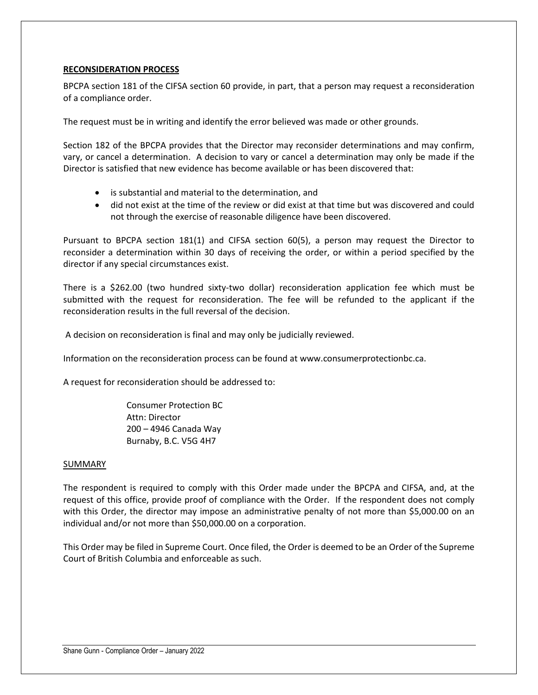### **RECONSIDERATION PROCESS**

BPCPA section 181 of the CIFSA section 60 provide, in part, that a person may request a reconsideration of a compliance order.

The request must be in writing and identify the error believed was made or other grounds.

Section 182 of the BPCPA provides that the Director may reconsider determinations and may confirm, vary, or cancel a determination. A decision to vary or cancel a determination may only be made if the Director is satisfied that new evidence has become available or has been discovered that:

- is substantial and material to the determination, and
- did not exist at the time of the review or did exist at that time but was discovered and could not through the exercise of reasonable diligence have been discovered.

Pursuant to BPCPA section 181(1) and CIFSA section 60(5), a person may request the Director to reconsider a determination within 30 days of receiving the order, or within a period specified by the director if any special circumstances exist.

There is a \$262.00 (two hundred sixty-two dollar) reconsideration application fee which must be submitted with the request for reconsideration. The fee will be refunded to the applicant if the reconsideration results in the full reversal of the decision.

A decision on reconsideration is final and may only be judicially reviewed.

Information on the reconsideration process can be found at www.consumerprotectionbc.ca.

A request for reconsideration should be addressed to:

Consumer Protection BC Attn: Director 200 – 4946 Canada Way Burnaby, B.C. V5G 4H7

#### SUMMARY

The respondent is required to comply with this Order made under the BPCPA and CIFSA, and, at the request of this office, provide proof of compliance with the Order. If the respondent does not comply with this Order, the director may impose an administrative penalty of not more than \$5,000.00 on an individual and/or not more than \$50,000.00 on a corporation.

This Order may be filed in Supreme Court. Once filed, the Order is deemed to be an Order of the Supreme Court of British Columbia and enforceable as such.